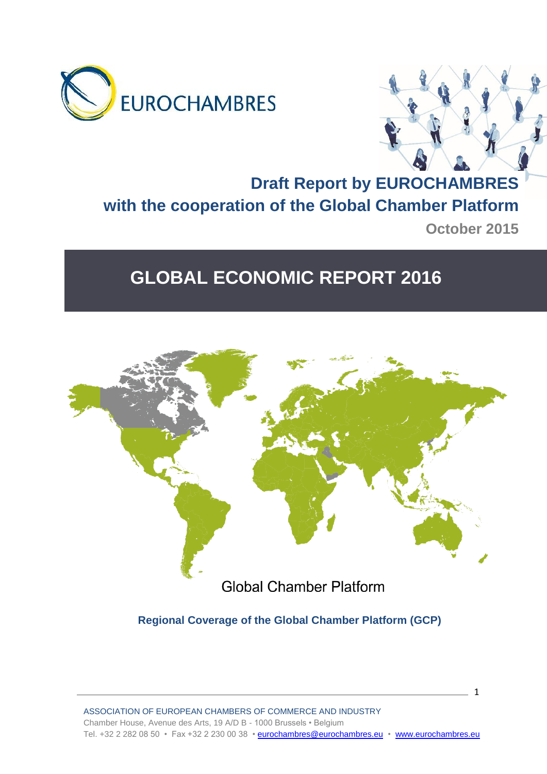



# **Draft Report by EUROCHAMBRES with the cooperation of the Global Chamber Platform October 2015**

# **GLOBAL ECONOMIC REPORT 2016**



**Regional Coverage of the Global Chamber Platform (GCP)**

 $\sim$  1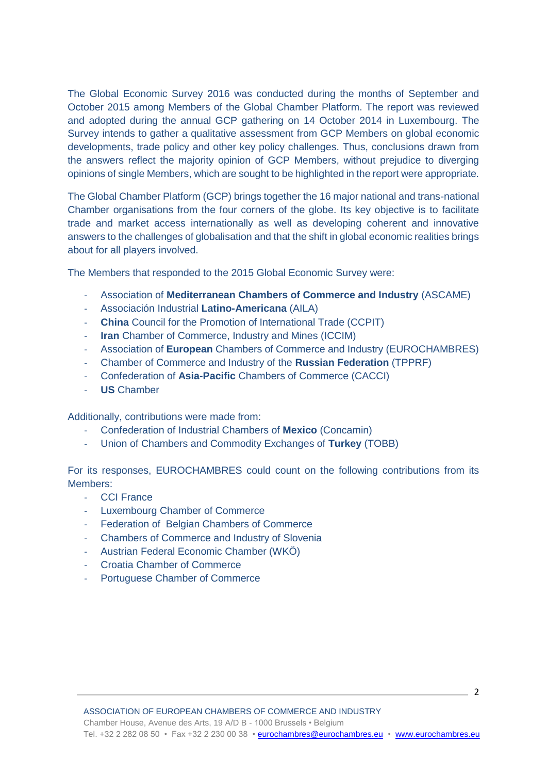The Global Economic Survey 2016 was conducted during the months of September and October 2015 among Members of the Global Chamber Platform. The report was reviewed and adopted during the annual GCP gathering on 14 October 2014 in Luxembourg. The Survey intends to gather a qualitative assessment from GCP Members on global economic developments, trade policy and other key policy challenges. Thus, conclusions drawn from the answers reflect the majority opinion of GCP Members, without prejudice to diverging opinions of single Members, which are sought to be highlighted in the report were appropriate.

The Global Chamber Platform (GCP) brings together the 16 major national and trans-national Chamber organisations from the four corners of the globe. Its key objective is to facilitate trade and market access internationally as well as developing coherent and innovative answers to the challenges of globalisation and that the shift in global economic realities brings about for all players involved.

The Members that responded to the 2015 Global Economic Survey were:

- Association of **Mediterranean Chambers of Commerce and Industry** (ASCAME)
- Associación Industrial **Latino-Americana** (AILA)
- **China** Council for the Promotion of International Trade (CCPIT)
- **Iran** Chamber of Commerce, Industry and Mines (ICCIM)
- Association of **European** Chambers of Commerce and Industry (EUROCHAMBRES)
- Chamber of Commerce and Industry of the **Russian Federation** (TPPRF)
- Confederation of **Asia-Pacific** Chambers of Commerce (CACCI)
- **US** Chamber

Additionally, contributions were made from:

- Confederation of Industrial Chambers of **Mexico** (Concamin)
- Union of Chambers and Commodity Exchanges of **Turkey** (TOBB)

For its responses, EUROCHAMBRES could count on the following contributions from its Members:

- CCI France
- Luxembourg Chamber of Commerce
- Federation of Belgian Chambers of Commerce
- Chambers of Commerce and Industry of Slovenia
- Austrian Federal Economic Chamber (WKÖ)
- Croatia Chamber of Commerce
- Portuguese Chamber of Commerce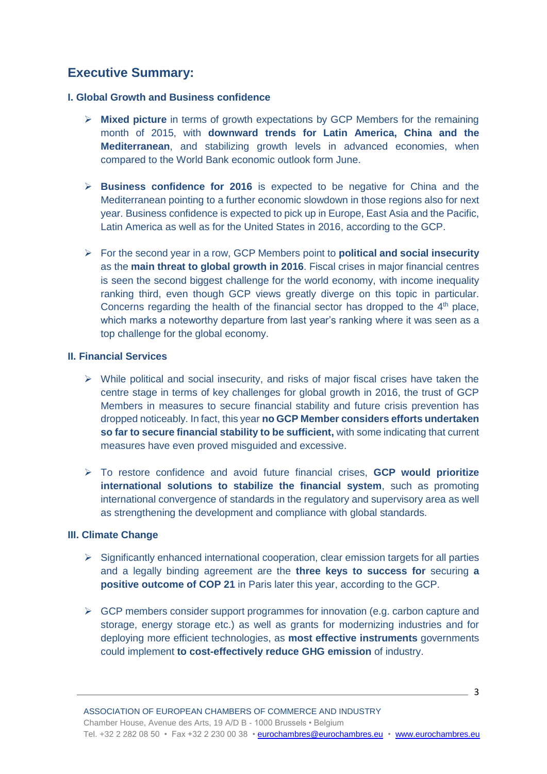# **Executive Summary:**

#### **I. Global Growth and Business confidence**

- **Mixed picture** in terms of growth expectations by GCP Members for the remaining month of 2015, with **downward trends for Latin America, China and the Mediterranean**, and stabilizing growth levels in advanced economies, when compared to the World Bank economic outlook form June.
- **Business confidence for 2016** is expected to be negative for China and the Mediterranean pointing to a further economic slowdown in those regions also for next year. Business confidence is expected to pick up in Europe, East Asia and the Pacific, Latin America as well as for the United States in 2016, according to the GCP.
- For the second year in a row, GCP Members point to **political and social insecurity** as the **main threat to global growth in 2016**. Fiscal crises in major financial centres is seen the second biggest challenge for the world economy, with income inequality ranking third, even though GCP views greatly diverge on this topic in particular. Concerns regarding the health of the financial sector has dropped to the  $4<sup>th</sup>$  place, which marks a noteworthy departure from last year's ranking where it was seen as a top challenge for the global economy.

#### **II. Financial Services**

- $\triangleright$  While political and social insecurity, and risks of major fiscal crises have taken the centre stage in terms of key challenges for global growth in 2016, the trust of GCP Members in measures to secure financial stability and future crisis prevention has dropped noticeably. In fact, this year **no GCP Member considers efforts undertaken so far to secure financial stability to be sufficient,** with some indicating that current measures have even proved misguided and excessive.
- To restore confidence and avoid future financial crises, **GCP would prioritize international solutions to stabilize the financial system**, such as promoting international convergence of standards in the regulatory and supervisory area as well as strengthening the development and compliance with global standards.

#### **III. Climate Change**

- $\triangleright$  Significantly enhanced international cooperation, clear emission targets for all parties and a legally binding agreement are the **three keys to success for** securing **a positive outcome of COP 21** in Paris later this year, according to the GCP.
- $\triangleright$  GCP members consider support programmes for innovation (e.g. carbon capture and storage, energy storage etc.) as well as grants for modernizing industries and for deploying more efficient technologies, as **most effective instruments** governments could implement **to cost-effectively reduce GHG emission** of industry.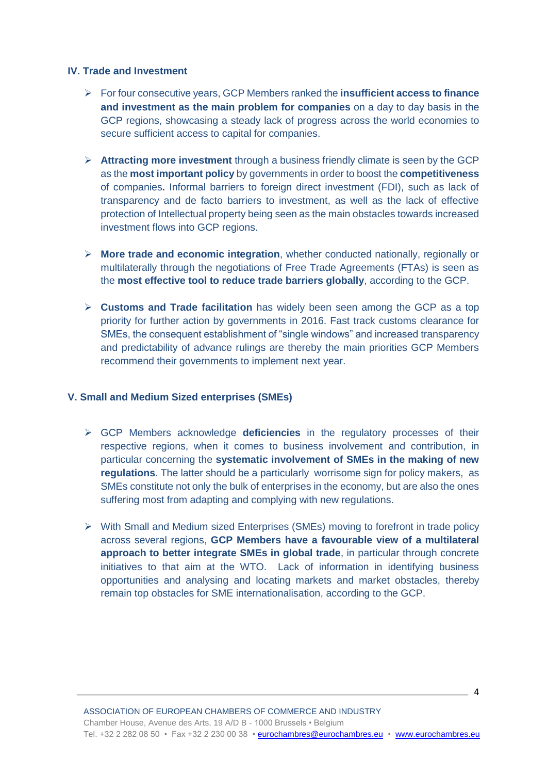# **IV. Trade and Investment**

- For four consecutive years, GCP Members ranked the **insufficient access to finance and investment as the main problem for companies** on a day to day basis in the GCP regions, showcasing a steady lack of progress across the world economies to secure sufficient access to capital for companies.
- **Attracting more investment** through a business friendly climate is seen by the GCP as the **most important policy** by governments in order to boost the **competitiveness**  of companies**.** Informal barriers to foreign direct investment (FDI), such as lack of transparency and de facto barriers to investment, as well as the lack of effective protection of Intellectual property being seen as the main obstacles towards increased investment flows into GCP regions.
- **More trade and economic integration**, whether conducted nationally, regionally or multilaterally through the negotiations of Free Trade Agreements (FTAs) is seen as the **most effective tool to reduce trade barriers globally**, according to the GCP.
- **Customs and Trade facilitation** has widely been seen among the GCP as a top priority for further action by governments in 2016. Fast track customs clearance for SMEs, the consequent establishment of "single windows" and increased transparency and predictability of advance rulings are thereby the main priorities GCP Members recommend their governments to implement next year.

#### **V. Small and Medium Sized enterprises (SMEs)**

- GCP Members acknowledge **deficiencies** in the regulatory processes of their respective regions, when it comes to business involvement and contribution, in particular concerning the **systematic involvement of SMEs in the making of new regulations**. The latter should be a particularly worrisome sign for policy makers, as SMEs constitute not only the bulk of enterprises in the economy, but are also the ones suffering most from adapting and complying with new regulations.
- With Small and Medium sized Enterprises (SMEs) moving to forefront in trade policy across several regions, **GCP Members have a favourable view of a multilateral approach to better integrate SMEs in global trade**, in particular through concrete initiatives to that aim at the WTO. Lack of information in identifying business opportunities and analysing and locating markets and market obstacles, thereby remain top obstacles for SME internationalisation, according to the GCP.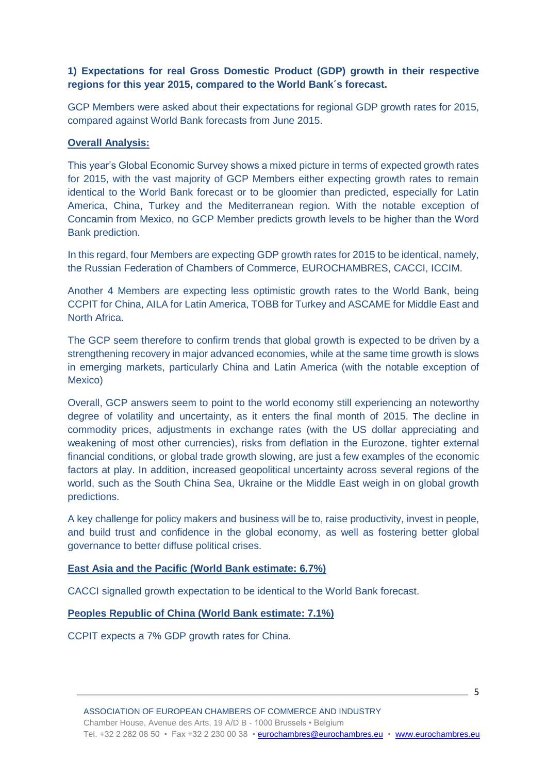# **1) Expectations for real Gross Domestic Product (GDP) growth in their respective regions for this year 2015, compared to the World Bank´s forecast.**

GCP Members were asked about their expectations for regional GDP growth rates for 2015, compared against World Bank forecasts from June 2015.

# **Overall Analysis:**

This year's Global Economic Survey shows a mixed picture in terms of expected growth rates for 2015, with the vast majority of GCP Members either expecting growth rates to remain identical to the World Bank forecast or to be gloomier than predicted, especially for Latin America, China, Turkey and the Mediterranean region. With the notable exception of Concamin from Mexico, no GCP Member predicts growth levels to be higher than the Word Bank prediction.

In this regard, four Members are expecting GDP growth rates for 2015 to be identical, namely, the Russian Federation of Chambers of Commerce, EUROCHAMBRES, CACCI, ICCIM.

Another 4 Members are expecting less optimistic growth rates to the World Bank, being CCPIT for China, AILA for Latin America, TOBB for Turkey and ASCAME for Middle East and North Africa.

The GCP seem therefore to confirm trends that global growth is expected to be driven by a strengthening recovery in major advanced economies, while at the same time growth is slows in emerging markets, particularly China and Latin America (with the notable exception of Mexico)

Overall, GCP answers seem to point to the world economy still experiencing an noteworthy degree of volatility and uncertainty, as it enters the final month of 2015. The decline in commodity prices, adjustments in exchange rates (with the US dollar appreciating and weakening of most other currencies), risks from deflation in the Eurozone, tighter external financial conditions, or global trade growth slowing, are just a few examples of the economic factors at play. In addition, increased geopolitical uncertainty across several regions of the world, such as the South China Sea, Ukraine or the Middle East weigh in on global growth predictions.

A key challenge for policy makers and business will be to, raise productivity, invest in people, and build trust and confidence in the global economy, as well as fostering better global governance to better diffuse political crises.

#### **East Asia and the Pacific (World Bank estimate: 6.7%)**

CACCI signalled growth expectation to be identical to the World Bank forecast.

#### **Peoples Republic of China (World Bank estimate: 7.1%)**

CCPIT expects a 7% GDP growth rates for China.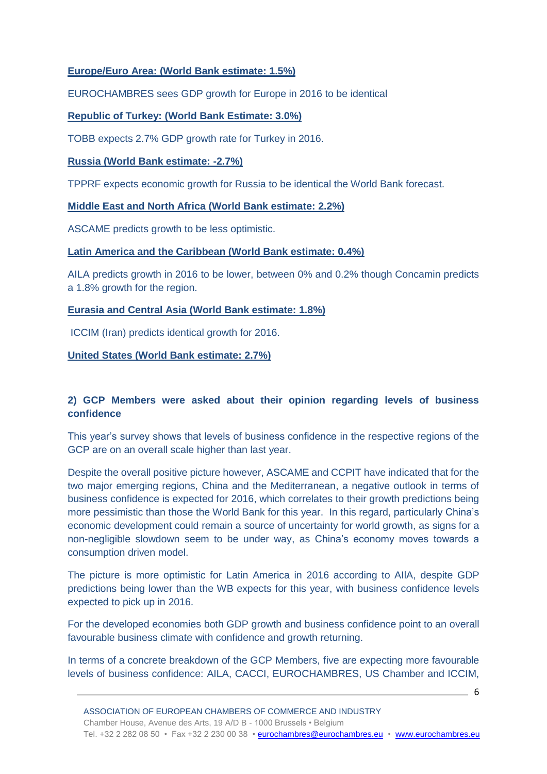# **Europe/Euro Area: (World Bank estimate: 1.5%)**

EUROCHAMBRES sees GDP growth for Europe in 2016 to be identical

# **Republic of Turkey: (World Bank Estimate: 3.0%)**

TOBB expects 2.7% GDP growth rate for Turkey in 2016.

# **Russia (World Bank estimate: -2.7%)**

TPPRF expects economic growth for Russia to be identical the World Bank forecast.

# **Middle East and North Africa (World Bank estimate: 2.2%)**

ASCAME predicts growth to be less optimistic.

# **Latin America and the Caribbean (World Bank estimate: 0.4%)**

AILA predicts growth in 2016 to be lower, between 0% and 0.2% though Concamin predicts a 1.8% growth for the region.

# **Eurasia and Central Asia (World Bank estimate: 1.8%)**

ICCIM (Iran) predicts identical growth for 2016.

# **United States (World Bank estimate: 2.7%)**

# **2) GCP Members were asked about their opinion regarding levels of business confidence**

This year's survey shows that levels of business confidence in the respective regions of the GCP are on an overall scale higher than last year.

Despite the overall positive picture however, ASCAME and CCPIT have indicated that for the two major emerging regions, China and the Mediterranean, a negative outlook in terms of business confidence is expected for 2016, which correlates to their growth predictions being more pessimistic than those the World Bank for this year. In this regard, particularly China's economic development could remain a source of uncertainty for world growth, as signs for a non-negligible slowdown seem to be under way, as China's economy moves towards a consumption driven model.

The picture is more optimistic for Latin America in 2016 according to AIlA, despite GDP predictions being lower than the WB expects for this year, with business confidence levels expected to pick up in 2016.

For the developed economies both GDP growth and business confidence point to an overall favourable business climate with confidence and growth returning.

In terms of a concrete breakdown of the GCP Members, five are expecting more favourable levels of business confidence: AILA, CACCI, EUROCHAMBRES, US Chamber and ICCIM,

 $\sim$  6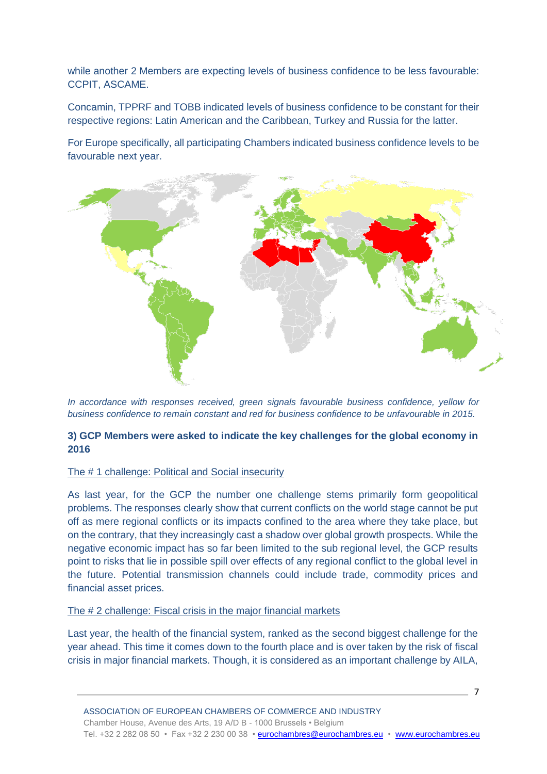while another 2 Members are expecting levels of business confidence to be less favourable: CCPIT, ASCAME.

Concamin, TPPRF and TOBB indicated levels of business confidence to be constant for their respective regions: Latin American and the Caribbean, Turkey and Russia for the latter.

For Europe specifically, all participating Chambers indicated business confidence levels to be favourable next year.



*In accordance with responses received, green signals favourable business confidence, yellow for business confidence to remain constant and red for business confidence to be unfavourable in 2015.* 

# **3) GCP Members were asked to indicate the key challenges for the global economy in 2016**

#### The # 1 challenge: Political and Social insecurity

As last year, for the GCP the number one challenge stems primarily form geopolitical problems. The responses clearly show that current conflicts on the world stage cannot be put off as mere regional conflicts or its impacts confined to the area where they take place, but on the contrary, that they increasingly cast a shadow over global growth prospects. While the negative economic impact has so far been limited to the sub regional level, the GCP results point to risks that lie in possible spill over effects of any regional conflict to the global level in the future. Potential transmission channels could include trade, commodity prices and financial asset prices.

#### The # 2 challenge: Fiscal crisis in the major financial markets

Last year, the health of the financial system, ranked as the second biggest challenge for the year ahead. This time it comes down to the fourth place and is over taken by the risk of fiscal crisis in major financial markets. Though, it is considered as an important challenge by AILA,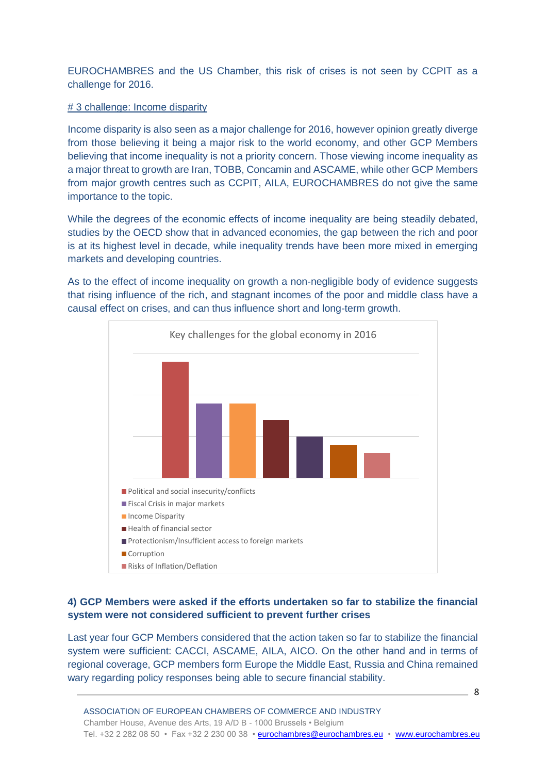EUROCHAMBRES and the US Chamber, this risk of crises is not seen by CCPIT as a challenge for 2016.

#### # 3 challenge: Income disparity

Income disparity is also seen as a major challenge for 2016, however opinion greatly diverge from those believing it being a major risk to the world economy, and other GCP Members believing that income inequality is not a priority concern. Those viewing income inequality as a major threat to growth are Iran, TOBB, Concamin and ASCAME, while other GCP Members from major growth centres such as CCPIT, AILA, EUROCHAMBRES do not give the same importance to the topic.

While the degrees of the economic effects of income inequality are being steadily debated, studies by the OECD show that in advanced economies, the gap between the rich and poor is at its highest level in decade, while inequality trends have been more mixed in emerging markets and developing countries.

As to the effect of income inequality on growth a non-negligible body of evidence suggests that rising influence of the rich, and stagnant incomes of the poor and middle class have a causal effect on crises, and can thus influence short and long-term growth.



# **4) GCP Members were asked if the efforts undertaken so far to stabilize the financial system were not considered sufficient to prevent further crises**

Last year four GCP Members considered that the action taken so far to stabilize the financial system were sufficient: CACCI, ASCAME, AILA, AICO. On the other hand and in terms of regional coverage, GCP members form Europe the Middle East, Russia and China remained wary regarding policy responses being able to secure financial stability.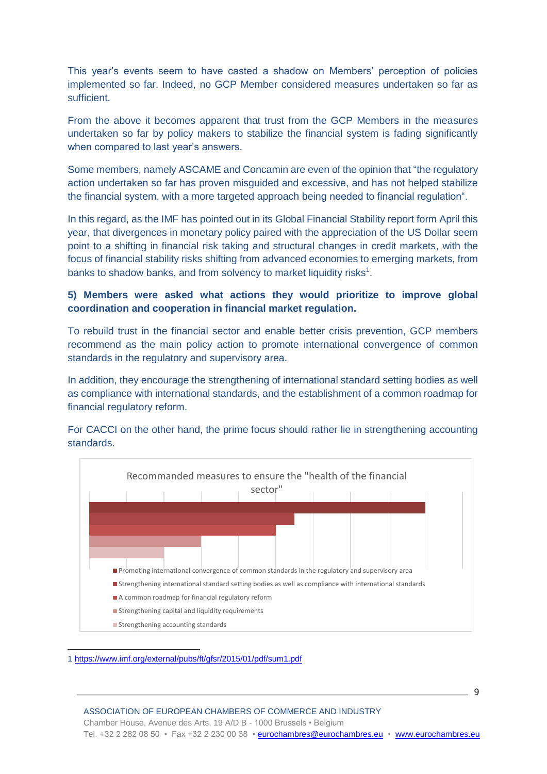This year's events seem to have casted a shadow on Members' perception of policies implemented so far. Indeed, no GCP Member considered measures undertaken so far as sufficient.

From the above it becomes apparent that trust from the GCP Members in the measures undertaken so far by policy makers to stabilize the financial system is fading significantly when compared to last year's answers.

Some members, namely ASCAME and Concamin are even of the opinion that "the regulatory action undertaken so far has proven misguided and excessive, and has not helped stabilize the financial system, with a more targeted approach being needed to financial regulation".

In this regard, as the IMF has pointed out in its Global Financial Stability report form April this year, that divergences in monetary policy paired with the appreciation of the US Dollar seem point to a shifting in financial risk taking and structural changes in credit markets, with the focus of financial stability risks shifting from advanced economies to emerging markets, from banks to shadow banks, and from solvency to market liquidity risks<sup>1</sup>.

# **5) Members were asked what actions they would prioritize to improve global coordination and cooperation in financial market regulation.**

To rebuild trust in the financial sector and enable better crisis prevention, GCP members recommend as the main policy action to promote international convergence of common standards in the regulatory and supervisory area.

In addition, they encourage the strengthening of international standard setting bodies as well as compliance with international standards, and the establishment of a common roadmap for financial regulatory reform.

For CACCI on the other hand, the prime focus should rather lie in strengthening accounting standards.



<sup>1</sup> <https://www.imf.org/external/pubs/ft/gfsr/2015/01/pdf/sum1.pdf>

 $\overline{a}$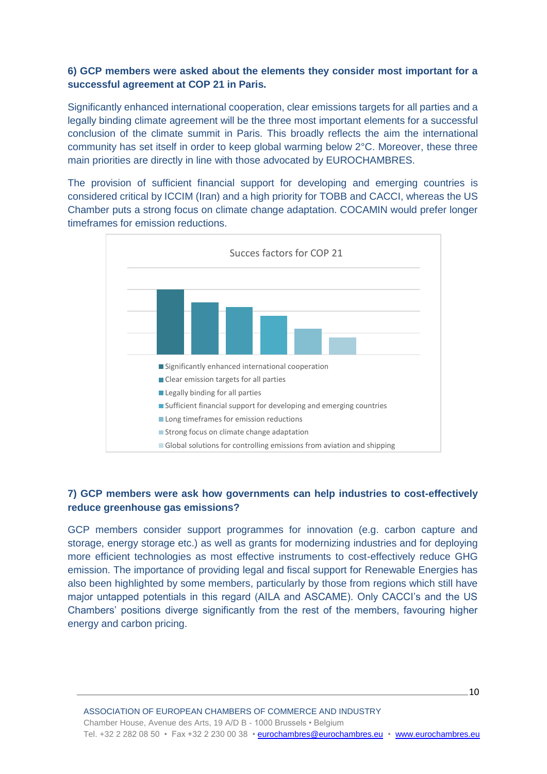# **6) GCP members were asked about the elements they consider most important for a successful agreement at COP 21 in Paris.**

Significantly enhanced international cooperation, clear emissions targets for all parties and a legally binding climate agreement will be the three most important elements for a successful conclusion of the climate summit in Paris. This broadly reflects the aim the international community has set itself in order to keep global warming below 2°C. Moreover, these three main priorities are directly in line with those advocated by EUROCHAMBRES.

The provision of sufficient financial support for developing and emerging countries is considered critical by ICCIM (Iran) and a high priority for TOBB and CACCI, whereas the US Chamber puts a strong focus on climate change adaptation. COCAMIN would prefer longer timeframes for emission reductions.



# **7) GCP members were ask how governments can help industries to cost-effectively reduce greenhouse gas emissions?**

GCP members consider support programmes for innovation (e.g. carbon capture and storage, energy storage etc.) as well as grants for modernizing industries and for deploying more efficient technologies as most effective instruments to cost-effectively reduce GHG emission. The importance of providing legal and fiscal support for Renewable Energies has also been highlighted by some members, particularly by those from regions which still have major untapped potentials in this regard (AILA and ASCAME). Only CACCI's and the US Chambers' positions diverge significantly from the rest of the members, favouring higher energy and carbon pricing.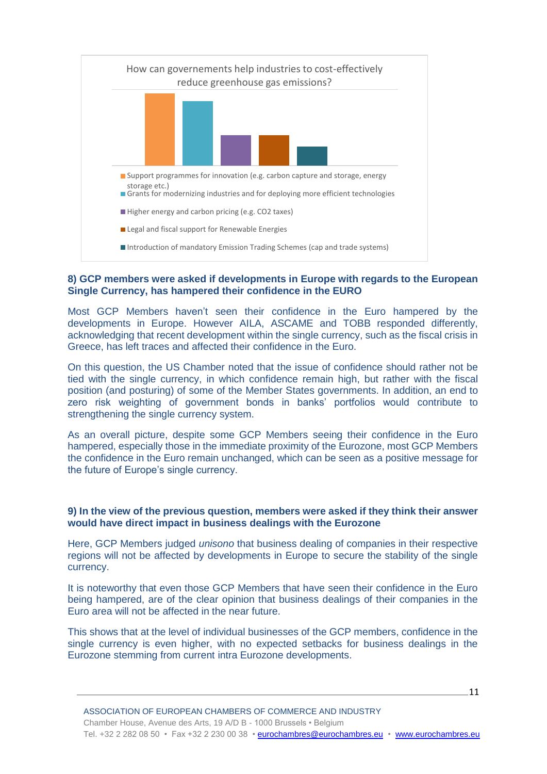

#### **8) GCP members were asked if developments in Europe with regards to the European Single Currency, has hampered their confidence in the EURO**

Most GCP Members haven't seen their confidence in the Euro hampered by the developments in Europe. However AILA, ASCAME and TOBB responded differently, acknowledging that recent development within the single currency, such as the fiscal crisis in Greece, has left traces and affected their confidence in the Euro.

On this question, the US Chamber noted that the issue of confidence should rather not be tied with the single currency, in which confidence remain high, but rather with the fiscal position (and posturing) of some of the Member States governments. In addition, an end to zero risk weighting of government bonds in banks' portfolios would contribute to strengthening the single currency system.

As an overall picture, despite some GCP Members seeing their confidence in the Euro hampered, especially those in the immediate proximity of the Eurozone, most GCP Members the confidence in the Euro remain unchanged, which can be seen as a positive message for the future of Europe's single currency.

#### **9) In the view of the previous question, members were asked if they think their answer would have direct impact in business dealings with the Eurozone**

Here, GCP Members judged *unisono* that business dealing of companies in their respective regions will not be affected by developments in Europe to secure the stability of the single currency.

It is noteworthy that even those GCP Members that have seen their confidence in the Euro being hampered, are of the clear opinion that business dealings of their companies in the Euro area will not be affected in the near future.

This shows that at the level of individual businesses of the GCP members, confidence in the single currency is even higher, with no expected setbacks for business dealings in the Eurozone stemming from current intra Eurozone developments.

11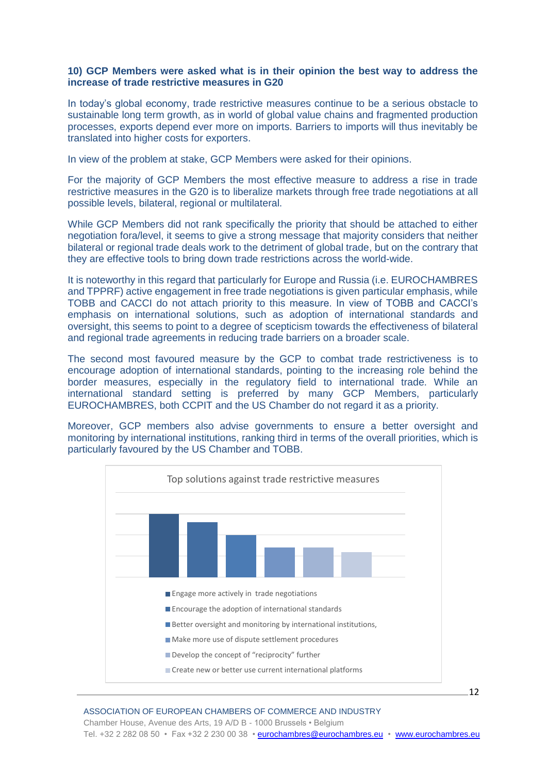#### **10) GCP Members were asked what is in their opinion the best way to address the increase of trade restrictive measures in G20**

In today's global economy, trade restrictive measures continue to be a serious obstacle to sustainable long term growth, as in world of global value chains and fragmented production processes, exports depend ever more on imports. Barriers to imports will thus inevitably be translated into higher costs for exporters.

In view of the problem at stake, GCP Members were asked for their opinions.

For the majority of GCP Members the most effective measure to address a rise in trade restrictive measures in the G20 is to liberalize markets through free trade negotiations at all possible levels, bilateral, regional or multilateral.

While GCP Members did not rank specifically the priority that should be attached to either negotiation fora/level, it seems to give a strong message that majority considers that neither bilateral or regional trade deals work to the detriment of global trade, but on the contrary that they are effective tools to bring down trade restrictions across the world-wide.

It is noteworthy in this regard that particularly for Europe and Russia (i.e. EUROCHAMBRES and TPPRF) active engagement in free trade negotiations is given particular emphasis, while TOBB and CACCI do not attach priority to this measure. In view of TOBB and CACCI's emphasis on international solutions, such as adoption of international standards and oversight, this seems to point to a degree of scepticism towards the effectiveness of bilateral and regional trade agreements in reducing trade barriers on a broader scale.

The second most favoured measure by the GCP to combat trade restrictiveness is to encourage adoption of international standards, pointing to the increasing role behind the border measures, especially in the regulatory field to international trade. While an international standard setting is preferred by many GCP Members, particularly EUROCHAMBRES, both CCPIT and the US Chamber do not regard it as a priority.

Moreover, GCP members also advise governments to ensure a better oversight and monitoring by international institutions, ranking third in terms of the overall priorities, which is particularly favoured by the US Chamber and TOBB.

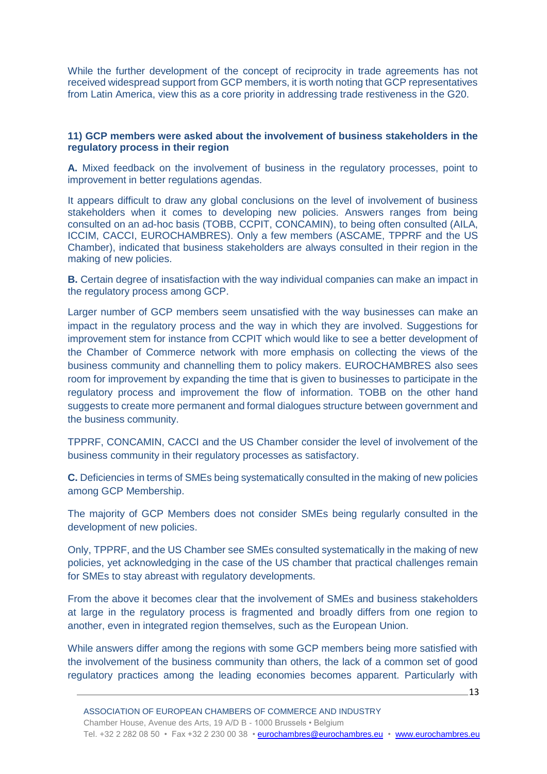While the further development of the concept of reciprocity in trade agreements has not received widespread support from GCP members, it is worth noting that GCP representatives from Latin America, view this as a core priority in addressing trade restiveness in the G20.

#### **11) GCP members were asked about the involvement of business stakeholders in the regulatory process in their region**

**A.** Mixed feedback on the involvement of business in the regulatory processes, point to improvement in better regulations agendas.

It appears difficult to draw any global conclusions on the level of involvement of business stakeholders when it comes to developing new policies. Answers ranges from being consulted on an ad-hoc basis (TOBB, CCPIT, CONCAMIN), to being often consulted (AILA, ICCIM, CACCI, EUROCHAMBRES). Only a few members (ASCAME, TPPRF and the US Chamber), indicated that business stakeholders are always consulted in their region in the making of new policies.

**B.** Certain degree of insatisfaction with the way individual companies can make an impact in the regulatory process among GCP.

Larger number of GCP members seem unsatisfied with the way businesses can make an impact in the regulatory process and the way in which they are involved. Suggestions for improvement stem for instance from CCPIT which would like to see a better development of the Chamber of Commerce network with more emphasis on collecting the views of the business community and channelling them to policy makers. EUROCHAMBRES also sees room for improvement by expanding the time that is given to businesses to participate in the regulatory process and improvement the flow of information. TOBB on the other hand suggests to create more permanent and formal dialogues structure between government and the business community.

TPPRF, CONCAMIN, CACCI and the US Chamber consider the level of involvement of the business community in their regulatory processes as satisfactory.

**C.** Deficiencies in terms of SMEs being systematically consulted in the making of new policies among GCP Membership.

The majority of GCP Members does not consider SMEs being regularly consulted in the development of new policies.

Only, TPPRF, and the US Chamber see SMEs consulted systematically in the making of new policies, yet acknowledging in the case of the US chamber that practical challenges remain for SMEs to stay abreast with regulatory developments.

From the above it becomes clear that the involvement of SMEs and business stakeholders at large in the regulatory process is fragmented and broadly differs from one region to another, even in integrated region themselves, such as the European Union.

While answers differ among the regions with some GCP members being more satisfied with the involvement of the business community than others, the lack of a common set of good regulatory practices among the leading economies becomes apparent. Particularly with

13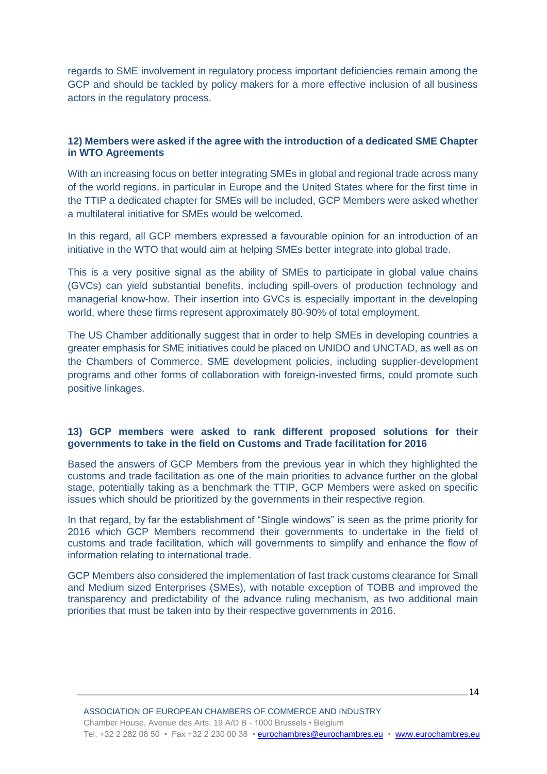regards to SME involvement in regulatory process important deficiencies remain among the GCP and should be tackled by policy makers for a more effective inclusion of all business actors in the regulatory process.

### **12) Members were asked if the agree with the introduction of a dedicated SME Chapter in WTO Agreements**

With an increasing focus on better integrating SMEs in global and regional trade across many of the world regions, in particular in Europe and the United States where for the first time in the TTIP a dedicated chapter for SMEs will be included, GCP Members were asked whether a multilateral initiative for SMEs would be welcomed.

In this regard, all GCP members expressed a favourable opinion for an introduction of an initiative in the WTO that would aim at helping SMEs better integrate into global trade.

This is a very positive signal as the ability of SMEs to participate in global value chains (GVCs) can yield substantial benefits, including spill-overs of production technology and managerial know-how. Their insertion into GVCs is especially important in the developing world, where these firms represent approximately 80-90% of total employment.

The US Chamber additionally suggest that in order to help SMEs in developing countries a greater emphasis for SME initiatives could be placed on UNIDO and UNCTAD, as well as on the Chambers of Commerce. SME development policies, including supplier-development programs and other forms of collaboration with foreign-invested firms, could promote such positive linkages.

#### **13) GCP members were asked to rank different proposed solutions for their governments to take in the field on Customs and Trade facilitation for 2016**

Based the answers of GCP Members from the previous year in which they highlighted the customs and trade facilitation as one of the main priorities to advance further on the global stage, potentially taking as a benchmark the TTIP, GCP Members were asked on specific issues which should be prioritized by the governments in their respective region.

In that regard, by far the establishment of "Single windows" is seen as the prime priority for 2016 which GCP Members recommend their governments to undertake in the field of customs and trade facilitation, which will governments to simplify and enhance the flow of information relating to international trade.

GCP Members also considered the implementation of fast track customs clearance for Small and Medium sized Enterprises (SMEs), with notable exception of TOBB and improved the transparency and predictability of the advance ruling mechanism, as two additional main priorities that must be taken into by their respective governments in 2016.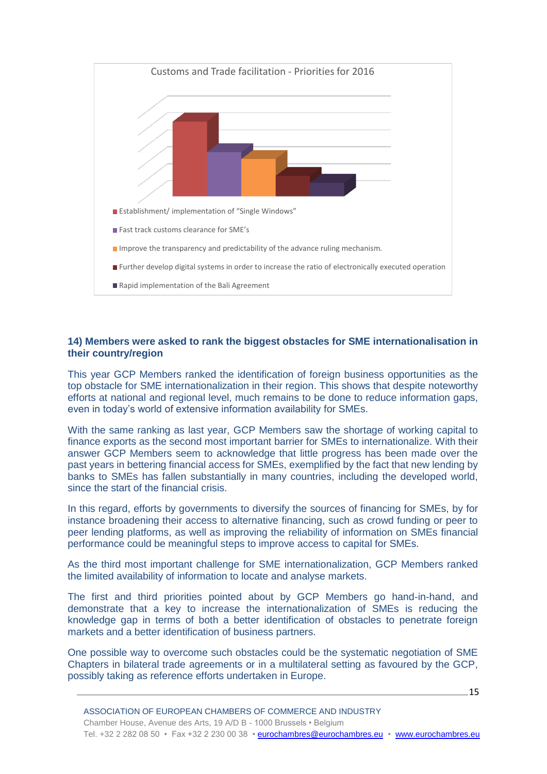

#### **14) Members were asked to rank the biggest obstacles for SME internationalisation in their country/region**

This year GCP Members ranked the identification of foreign business opportunities as the top obstacle for SME internationalization in their region. This shows that despite noteworthy efforts at national and regional level, much remains to be done to reduce information gaps, even in today's world of extensive information availability for SMEs.

With the same ranking as last year, GCP Members saw the shortage of working capital to finance exports as the second most important barrier for SMEs to internationalize. With their answer GCP Members seem to acknowledge that little progress has been made over the past years in bettering financial access for SMEs, exemplified by the fact that new lending by banks to SMEs has fallen substantially in many countries, including the developed world, since the start of the financial crisis.

In this regard, efforts by governments to diversify the sources of financing for SMEs, by for instance broadening their access to alternative financing, such as crowd funding or peer to peer lending platforms, as well as improving the reliability of information on SMEs financial performance could be meaningful steps to improve access to capital for SMEs.

As the third most important challenge for SME internationalization, GCP Members ranked the limited availability of information to locate and analyse markets.

The first and third priorities pointed about by GCP Members go hand-in-hand, and demonstrate that a key to increase the internationalization of SMEs is reducing the knowledge gap in terms of both a better identification of obstacles to penetrate foreign markets and a better identification of business partners.

One possible way to overcome such obstacles could be the systematic negotiation of SME Chapters in bilateral trade agreements or in a multilateral setting as favoured by the GCP, possibly taking as reference efforts undertaken in Europe.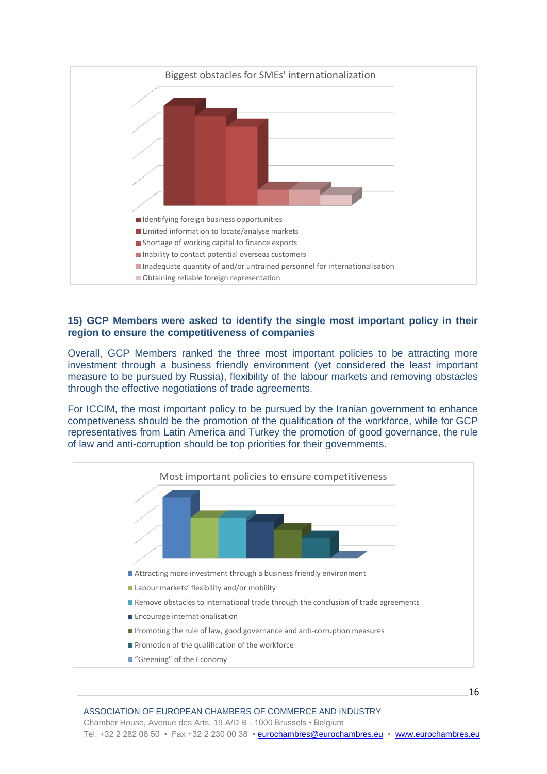

#### **15) GCP Members were asked to identify the single most important policy in their region to ensure the competitiveness of companies**

Overall, GCP Members ranked the three most important policies to be attracting more investment through a business friendly environment (yet considered the least important measure to be pursued by Russia), flexibility of the labour markets and removing obstacles through the effective negotiations of trade agreements.

For ICCIM, the most important policy to be pursued by the Iranian government to enhance competiveness should be the promotion of the qualification of the workforce, while for GCP representatives from Latin America and Turkey the promotion of good governance, the rule of law and anti-corruption should be top priorities for their governments.

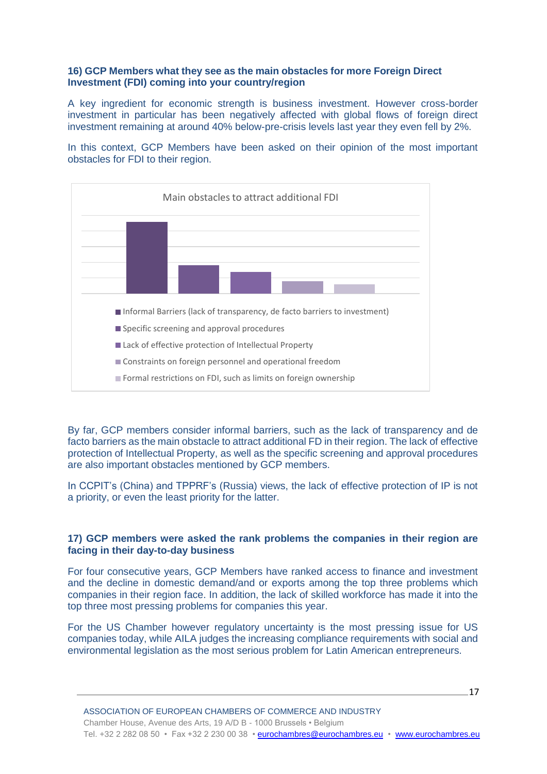#### **16) GCP Members what they see as the main obstacles for more Foreign Direct Investment (FDI) coming into your country/region**

A key ingredient for economic strength is business investment. However cross-border investment in particular has been negatively affected with global flows of foreign direct investment remaining at around 40% below-pre-crisis levels last year they even fell by 2%.

In this context, GCP Members have been asked on their opinion of the most important obstacles for FDI to their region.



By far, GCP members consider informal barriers, such as the lack of transparency and de facto barriers as the main obstacle to attract additional FD in their region. The lack of effective protection of Intellectual Property, as well as the specific screening and approval procedures are also important obstacles mentioned by GCP members.

In CCPIT's (China) and TPPRF's (Russia) views, the lack of effective protection of IP is not a priority, or even the least priority for the latter.

#### **17) GCP members were asked the rank problems the companies in their region are facing in their day-to-day business**

For four consecutive years, GCP Members have ranked access to finance and investment and the decline in domestic demand/and or exports among the top three problems which companies in their region face. In addition, the lack of skilled workforce has made it into the top three most pressing problems for companies this year.

For the US Chamber however regulatory uncertainty is the most pressing issue for US companies today, while AILA judges the increasing compliance requirements with social and environmental legislation as the most serious problem for Latin American entrepreneurs.